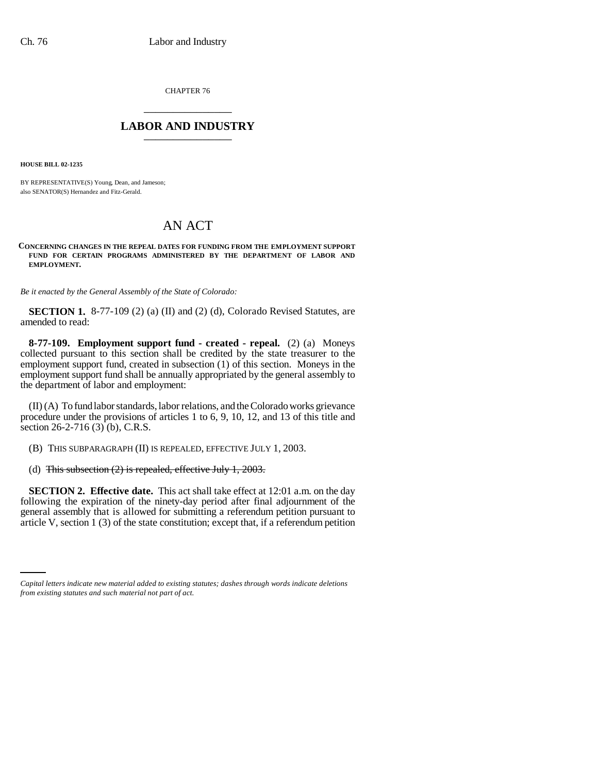CHAPTER 76 \_\_\_\_\_\_\_\_\_\_\_\_\_\_\_

## **LABOR AND INDUSTRY** \_\_\_\_\_\_\_\_\_\_\_\_\_\_\_

**HOUSE BILL 02-1235**

BY REPRESENTATIVE(S) Young, Dean, and Jameson; also SENATOR(S) Hernandez and Fitz-Gerald.

## AN ACT

## **CONCERNING CHANGES IN THE REPEAL DATES FOR FUNDING FROM THE EMPLOYMENT SUPPORT FUND FOR CERTAIN PROGRAMS ADMINISTERED BY THE DEPARTMENT OF LABOR AND EMPLOYMENT.**

*Be it enacted by the General Assembly of the State of Colorado:*

**SECTION 1.** 8-77-109 (2) (a) (II) and (2) (d), Colorado Revised Statutes, are amended to read:

**8-77-109. Employment support fund - created - repeal.** (2) (a) Moneys collected pursuant to this section shall be credited by the state treasurer to the employment support fund, created in subsection (1) of this section. Moneys in the employment support fund shall be annually appropriated by the general assembly to the department of labor and employment:

(II) (A) To fund labor standards, labor relations, and the Colorado works grievance procedure under the provisions of articles 1 to 6, 9, 10, 12, and 13 of this title and section 26-2-716 (3) (b), C.R.S.

(B) THIS SUBPARAGRAPH (II) IS REPEALED, EFFECTIVE JULY 1, 2003.

(d) This subsection (2) is repealed, effective July 1, 2003.

article V, section 1 (3) of the state constitution; except that, if a referendum petition**SECTION 2. Effective date.** This act shall take effect at 12:01 a.m. on the day following the expiration of the ninety-day period after final adjournment of the general assembly that is allowed for submitting a referendum petition pursuant to

*Capital letters indicate new material added to existing statutes; dashes through words indicate deletions from existing statutes and such material not part of act.*